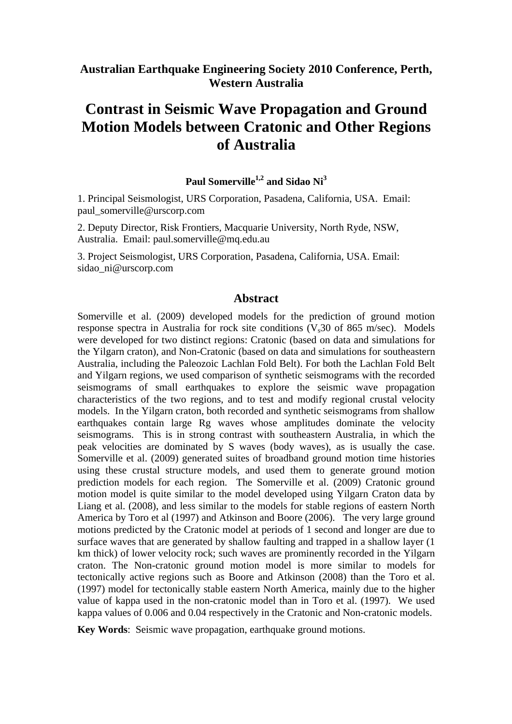# **Australian Earthquake Engineering Society 2010 Conference, Perth, Western Australia**

# **Contrast in Seismic Wave Propagation and Ground Motion Models between Cratonic and Other Regions of Australia**

# Paul Somerville<sup>1,2</sup> and Sidao Ni<sup>3</sup>

1. Principal Seismologist, URS Corporation, Pasadena, California, USA. Email: paul\_somerville@urscorp.com

2. Deputy Director, Risk Frontiers, Macquarie University, North Ryde, NSW, Australia. Email: paul.somerville@mq.edu.au

3. Project Seismologist, URS Corporation, Pasadena, California, USA. Email: sidao\_ni@urscorp.com

## **Abstract**

Somerville et al. (2009) developed models for the prediction of ground motion response spectra in Australia for rock site conditions  $(V<sub>s</sub>30$  of 865 m/sec). Models were developed for two distinct regions: Cratonic (based on data and simulations for the Yilgarn craton), and Non-Cratonic (based on data and simulations for southeastern Australia, including the Paleozoic Lachlan Fold Belt). For both the Lachlan Fold Belt and Yilgarn regions, we used comparison of synthetic seismograms with the recorded seismograms of small earthquakes to explore the seismic wave propagation characteristics of the two regions, and to test and modify regional crustal velocity models. In the Yilgarn craton, both recorded and synthetic seismograms from shallow earthquakes contain large Rg waves whose amplitudes dominate the velocity seismograms. This is in strong contrast with southeastern Australia, in which the peak velocities are dominated by S waves (body waves), as is usually the case. Somerville et al. (2009) generated suites of broadband ground motion time histories using these crustal structure models, and used them to generate ground motion prediction models for each region. The Somerville et al. (2009) Cratonic ground motion model is quite similar to the model developed using Yilgarn Craton data by Liang et al. (2008), and less similar to the models for stable regions of eastern North America by Toro et al (1997) and Atkinson and Boore (2006). The very large ground motions predicted by the Cratonic model at periods of 1 second and longer are due to surface waves that are generated by shallow faulting and trapped in a shallow layer (1 km thick) of lower velocity rock; such waves are prominently recorded in the Yilgarn craton. The Non-cratonic ground motion model is more similar to models for tectonically active regions such as Boore and Atkinson (2008) than the Toro et al. (1997) model for tectonically stable eastern North America, mainly due to the higher value of kappa used in the non-cratonic model than in Toro et al. (1997). We used kappa values of 0.006 and 0.04 respectively in the Cratonic and Non-cratonic models.

**Key Words**: Seismic wave propagation, earthquake ground motions.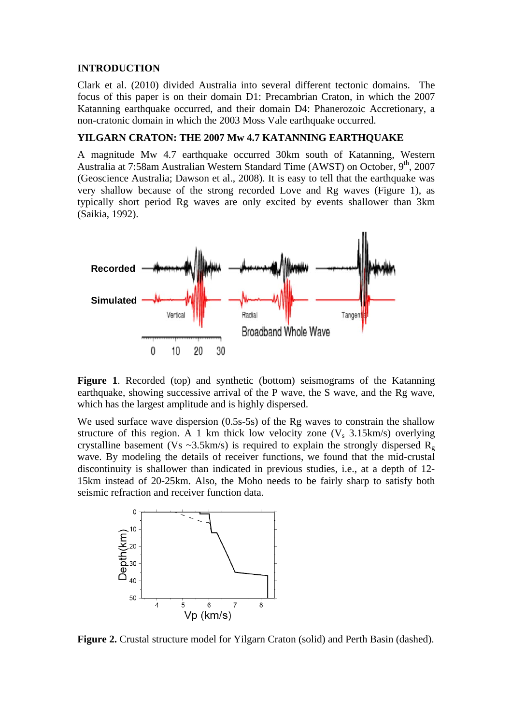#### **INTRODUCTION**

Clark et al. (2010) divided Australia into several different tectonic domains. The focus of this paper is on their domain D1: Precambrian Craton, in which the 2007 Katanning earthquake occurred, and their domain D4: Phanerozoic Accretionary, a non-cratonic domain in which the 2003 Moss Vale earthquake occurred.

#### **YILGARN CRATON: THE 2007 Mw 4.7 KATANNING EARTHQUAKE**

A magnitude Mw 4.7 earthquake occurred 30km south of Katanning, Western Australia at 7:58am Australian Western Standard Time (AWST) on October, 9<sup>th</sup>, 2007 (Geoscience Australia; Dawson et al., 2008). It is easy to tell that the earthquake was very shallow because of the strong recorded Love and Rg waves (Figure 1), as typically short period Rg waves are only excited by events shallower than 3km (Saikia, 1992).



**Figure 1**. Recorded (top) and synthetic (bottom) seismograms of the Katanning earthquake, showing successive arrival of the P wave, the S wave, and the Rg wave, which has the largest amplitude and is highly dispersed.

We used surface wave dispersion (0.5s-5s) of the Rg waves to constrain the shallow structure of this region. A 1 km thick low velocity zone  $(V_s \ 3.15 \text{km/s})$  overlying crystalline basement (Vs ~3.5km/s) is required to explain the strongly dispersed  $R_g$ wave. By modeling the details of receiver functions, we found that the mid-crustal discontinuity is shallower than indicated in previous studies, i.e., at a depth of 12- 15km instead of 20-25km. Also, the Moho needs to be fairly sharp to satisfy both seismic refraction and receiver function data.



Figure 2. Crustal structure model for Yilgarn Craton (solid) and Perth Basin (dashed).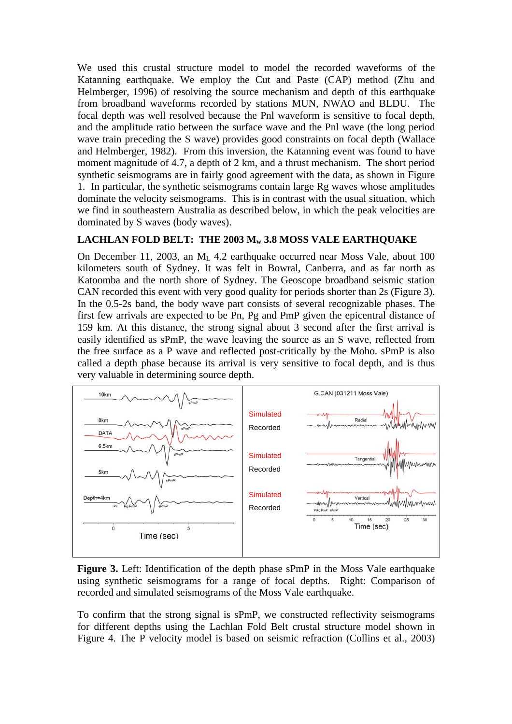We used this crustal structure model to model the recorded waveforms of the Katanning earthquake. We employ the Cut and Paste (CAP) method (Zhu and Helmberger, 1996) of resolving the source mechanism and depth of this earthquake from broadband waveforms recorded by stations MUN, NWAO and BLDU. The focal depth was well resolved because the Pnl waveform is sensitive to focal depth, and the amplitude ratio between the surface wave and the Pnl wave (the long period wave train preceding the S wave) provides good constraints on focal depth (Wallace and Helmberger, 1982). From this inversion, the Katanning event was found to have moment magnitude of 4.7, a depth of 2 km, and a thrust mechanism. The short period synthetic seismograms are in fairly good agreement with the data, as shown in Figure 1. In particular, the synthetic seismograms contain large Rg waves whose amplitudes dominate the velocity seismograms. This is in contrast with the usual situation, which we find in southeastern Australia as described below, in which the peak velocities are dominated by S waves (body waves).

## LACHLAN FOLD BELT: THE 2003 M<sub>w</sub> 3.8 MOSS VALE EARTHQUAKE

On December 11, 2003, an ML 4.2 earthquake occurred near Moss Vale, about 100 kilometers south of Sydney. It was felt in Bowral, Canberra, and as far north as Katoomba and the north shore of Sydney. The Geoscope broadband seismic station CAN recorded this event with very good quality for periods shorter than 2s (Figure 3). In the 0.5-2s band, the body wave part consists of several recognizable phases. The first few arrivals are expected to be Pn, Pg and PmP given the epicentral distance of 159 km. At this distance, the strong signal about 3 second after the first arrival is easily identified as sPmP, the wave leaving the source as an S wave, reflected from the free surface as a P wave and reflected post-critically by the Moho. sPmP is also called a depth phase because its arrival is very sensitive to focal depth, and is thus very valuable in determining source depth.



**Figure 3.** Left: Identification of the depth phase sPmP in the Moss Vale earthquake using synthetic seismograms for a range of focal depths. Right: Comparison of recorded and simulated seismograms of the Moss Vale earthquake.

To confirm that the strong signal is sPmP, we constructed reflectivity seismograms for different depths using the Lachlan Fold Belt crustal structure model shown in Figure 4. The P velocity model is based on seismic refraction (Collins et al., 2003)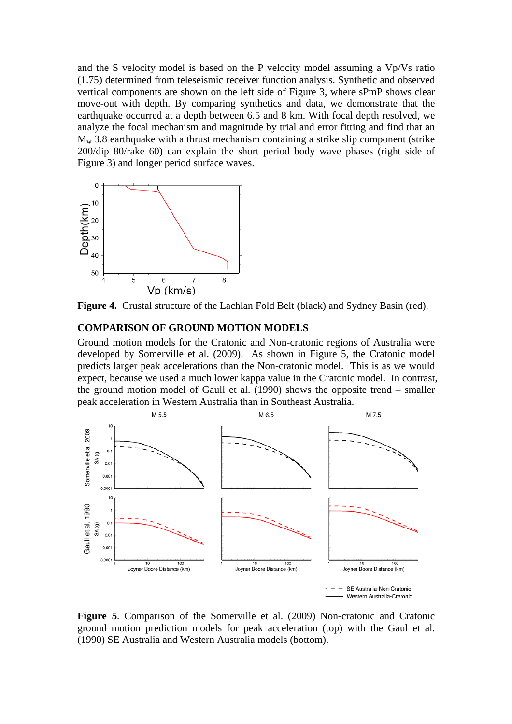and the S velocity model is based on the P velocity model assuming a Vp/Vs ratio (1.75) determined from teleseismic receiver function analysis. Synthetic and observed vertical components are shown on the left side of Figure 3, where sPmP shows clear move-out with depth. By comparing synthetics and data, we demonstrate that the earthquake occurred at a depth between 6.5 and 8 km. With focal depth resolved, we analyze the focal mechanism and magnitude by trial and error fitting and find that an  $M_{w}$  3.8 earthquake with a thrust mechanism containing a strike slip component (strike 200/dip 80/rake 60) can explain the short period body wave phases (right side of Figure 3) and longer period surface waves.



**Figure 4.** Crustal structure of the Lachlan Fold Belt (black) and Sydney Basin (red).

#### **COMPARISON OF GROUND MOTION MODELS**

Ground motion models for the Cratonic and Non-cratonic regions of Australia were developed by Somerville et al. (2009). As shown in Figure 5, the Cratonic model predicts larger peak accelerations than the Non-cratonic model. This is as we would expect, because we used a much lower kappa value in the Cratonic model. In contrast, the ground motion model of Gaull et al. (1990) shows the opposite trend – smaller peak acceleration in Western Australia than in Southeast Australia.



**Figure 5**. Comparison of the Somerville et al. (2009) Non-cratonic and Cratonic ground motion prediction models for peak acceleration (top) with the Gaul et al. (1990) SE Australia and Western Australia models (bottom).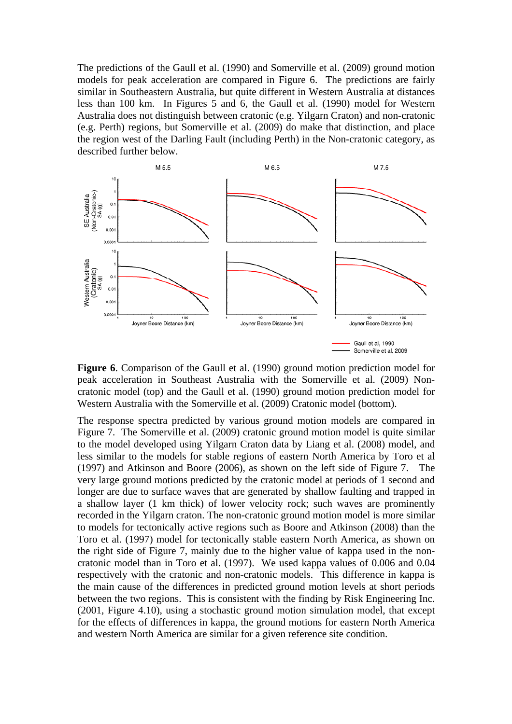The predictions of the Gaull et al. (1990) and Somerville et al. (2009) ground motion models for peak acceleration are compared in Figure 6. The predictions are fairly similar in Southeastern Australia, but quite different in Western Australia at distances less than 100 km. In Figures 5 and 6, the Gaull et al. (1990) model for Western Australia does not distinguish between cratonic (e.g. Yilgarn Craton) and non-cratonic (e.g. Perth) regions, but Somerville et al. (2009) do make that distinction, and place the region west of the Darling Fault (including Perth) in the Non-cratonic category, as described further below.



**Figure 6**. Comparison of the Gaull et al. (1990) ground motion prediction model for peak acceleration in Southeast Australia with the Somerville et al. (2009) Noncratonic model (top) and the Gaull et al. (1990) ground motion prediction model for Western Australia with the Somerville et al. (2009) Cratonic model (bottom).

The response spectra predicted by various ground motion models are compared in Figure 7. The Somerville et al. (2009) cratonic ground motion model is quite similar to the model developed using Yilgarn Craton data by Liang et al. (2008) model, and less similar to the models for stable regions of eastern North America by Toro et al (1997) and Atkinson and Boore (2006), as shown on the left side of Figure 7. The very large ground motions predicted by the cratonic model at periods of 1 second and longer are due to surface waves that are generated by shallow faulting and trapped in a shallow layer (1 km thick) of lower velocity rock; such waves are prominently recorded in the Yilgarn craton. The non-cratonic ground motion model is more similar to models for tectonically active regions such as Boore and Atkinson (2008) than the Toro et al. (1997) model for tectonically stable eastern North America, as shown on the right side of Figure 7, mainly due to the higher value of kappa used in the noncratonic model than in Toro et al. (1997). We used kappa values of 0.006 and 0.04 respectively with the cratonic and non-cratonic models. This difference in kappa is the main cause of the differences in predicted ground motion levels at short periods between the two regions. This is consistent with the finding by Risk Engineering Inc. (2001, Figure 4.10), using a stochastic ground motion simulation model, that except for the effects of differences in kappa, the ground motions for eastern North America and western North America are similar for a given reference site condition.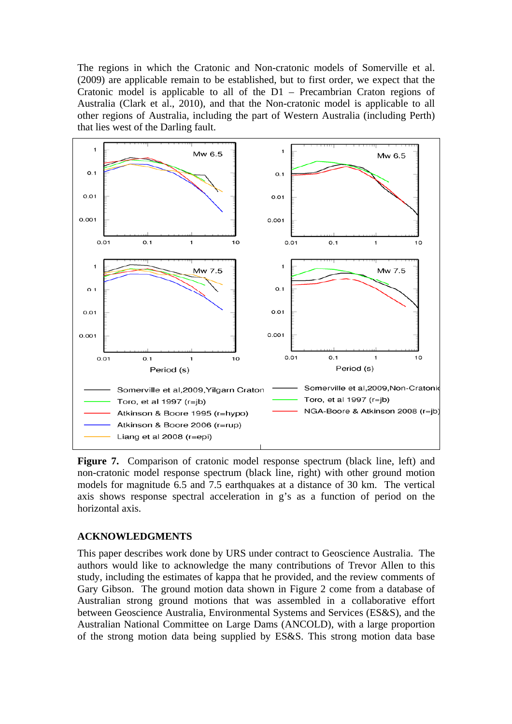The regions in which the Cratonic and Non-cratonic models of Somerville et al. (2009) are applicable remain to be established, but to first order, we expect that the Cratonic model is applicable to all of the D1 – Precambrian Craton regions of Australia (Clark et al., 2010), and that the Non-cratonic model is applicable to all other regions of Australia, including the part of Western Australia (including Perth) that lies west of the Darling fault.



**Figure 7.** Comparison of cratonic model response spectrum (black line, left) and non-cratonic model response spectrum (black line, right) with other ground motion models for magnitude 6.5 and 7.5 earthquakes at a distance of 30 km. The vertical axis shows response spectral acceleration in g's as a function of period on the horizontal axis.

#### **ACKNOWLEDGMENTS**

This paper describes work done by URS under contract to Geoscience Australia. The authors would like to acknowledge the many contributions of Trevor Allen to this study, including the estimates of kappa that he provided, and the review comments of Gary Gibson. The ground motion data shown in Figure 2 come from a database of Australian strong ground motions that was assembled in a collaborative effort between Geoscience Australia, Environmental Systems and Services (ES&S), and the Australian National Committee on Large Dams (ANCOLD), with a large proportion of the strong motion data being supplied by ES&S. This strong motion data base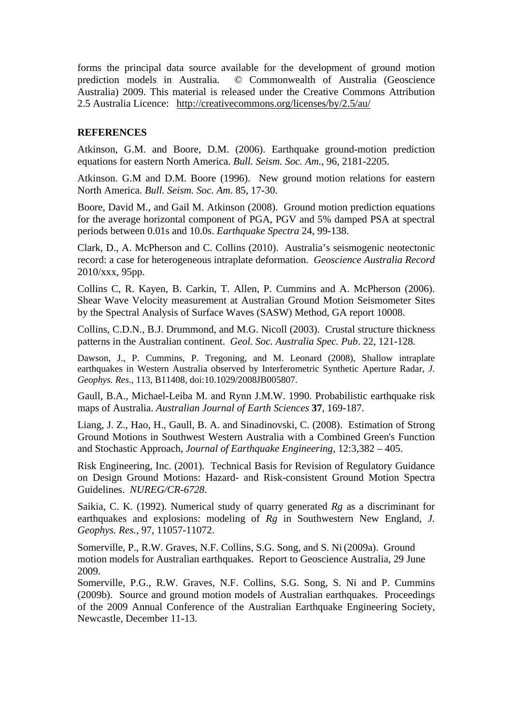forms the principal data source available for the development of ground motion prediction models in Australia. © Commonwealth of Australia (Geoscience Australia) 2009. This material is released under the Creative Commons Attribution 2.5 Australia Licence: <http://creativecommons.org/licenses/by/2.5/au/>

#### **REFERENCES**

Atkinson, G.M. and Boore, D.M. (2006). Earthquake ground-motion prediction equations for eastern North America. *Bull. Seism. Soc. Am.*, 96, 2181-2205.

Atkinson. G.M and D.M. Boore (1996). New ground motion relations for eastern North America. *Bull. Seism. Soc. Am*. 85, 17-30.

Boore, David M., and Gail M. Atkinson (2008). Ground motion prediction equations for the average horizontal component of PGA, PGV and 5% damped PSA at spectral periods between 0.01s and 10.0s. *Earthquake Spectra* 24, 99-138.

Clark, D., A. McPherson and C. Collins (2010). Australia's seismogenic neotectonic record: a case for heterogeneous intraplate deformation. *Geoscience Australia Record* 2010/xxx, 95pp.

Collins C, R. Kayen, B. Carkin, T. Allen, P. Cummins and A. McPherson (2006). Shear Wave Velocity measurement at Australian Ground Motion Seismometer Sites by the Spectral Analysis of Surface Waves (SASW) Method, GA report 10008.

Collins, C.D.N., B.J. Drummond, and M.G. Nicoll (2003). Crustal structure thickness patterns in the Australian continent. *Geol. Soc. Australia Spec. Pub*. 22, 121-128.

Dawson, J., P. Cummins, P. Tregoning, and M. Leonard (2008), Shallow intraplate earthquakes in Western Australia observed by Interferometric Synthetic Aperture Radar, *J. Geophys. Res.*, 113, B11408, doi:10.1029/2008JB005807.

Gaull, B.A., Michael-Leiba M. and Rynn J.M.W. 1990. Probabilistic earthquake risk maps of Australia. *Australian Journal of Earth Sciences* **37**, 169-187.

Liang, J. Z., Hao, H., Gaull, B. A. and Sinadinovski, C. (2008). Estimation of Strong Ground Motions in Southwest Western Australia with a Combined Green's Function and Stochastic Approach, *Journal of Earthquake Engineering*, 12:3,382 – 405.

Risk Engineering, Inc. (2001). Technical Basis for Revision of Regulatory Guidance on Design Ground Motions: Hazard- and Risk-consistent Ground Motion Spectra Guidelines. *NUREG/CR-6728*.

Saikia, C. K. (1992). Numerical study of quarry generated *Rg* as a discriminant for earthquakes and explosions: modeling of *Rg* in Southwestern New England, *J. Geophys. Res.,* 97, 11057-11072.

Somerville, P., R.W. Graves, N.F. Collins, S.G. Song, and S. Ni (2009a). Ground motion models for Australian earthquakes. Report to Geoscience Australia, 29 June 2009.

Somerville, P.G., R.W. Graves, N.F. Collins, S.G. Song, S. Ni and P. Cummins (2009b). Source and ground motion models of Australian earthquakes. Proceedings of the 2009 Annual Conference of the Australian Earthquake Engineering Society, Newcastle, December 11-13.